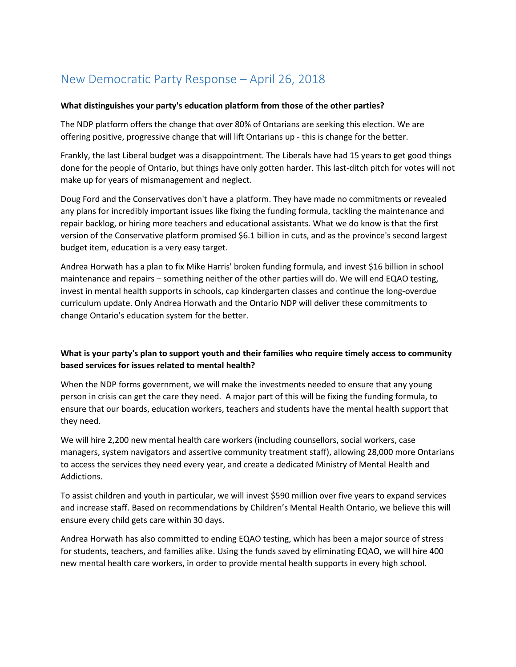# New Democratic Party Response – April 26, 2018

#### **What distinguishes your party's education platform from those of the other parties?**

The NDP platform offers the change that over 80% of Ontarians are seeking this election. We are offering positive, progressive change that will lift Ontarians up - this is change for the better.

Frankly, the last Liberal budget was a disappointment. The Liberals have had 15 years to get good things done for the people of Ontario, but things have only gotten harder. This last-ditch pitch for votes will not make up for years of mismanagement and neglect.

Doug Ford and the Conservatives don't have a platform. They have made no commitments or revealed any plans for incredibly important issues like fixing the funding formula, tackling the maintenance and repair backlog, or hiring more teachers and educational assistants. What we do know is that the first version of the Conservative platform promised \$6.1 billion in cuts, and as the province's second largest budget item, education is a very easy target.

Andrea Horwath has a plan to fix Mike Harris' broken funding formula, and invest \$16 billion in school maintenance and repairs – something neither of the other parties will do. We will end EQAO testing, invest in mental health supports in schools, cap kindergarten classes and continue the long-overdue curriculum update. Only Andrea Horwath and the Ontario NDP will deliver these commitments to change Ontario's education system for the better.

## **What is your party's plan to support youth and their families who require timely access to community based services for issues related to mental health?**

When the NDP forms government, we will make the investments needed to ensure that any young person in crisis can get the care they need. A major part of this will be fixing the funding formula, to ensure that our boards, education workers, teachers and students have the mental health support that they need.

We will hire 2,200 new mental health care workers (including counsellors, social workers, case managers, system navigators and assertive community treatment staff), allowing 28,000 more Ontarians to access the services they need every year, and create a dedicated Ministry of Mental Health and Addictions.

To assist children and youth in particular, we will invest \$590 million over five years to expand services and increase staff. Based on recommendations by Children's Mental Health Ontario, we believe this will ensure every child gets care within 30 days.

Andrea Horwath has also committed to ending EQAO testing, which has been a major source of stress for students, teachers, and families alike. Using the funds saved by eliminating EQAO, we will hire 400 new mental health care workers, in order to provide mental health supports in every high school.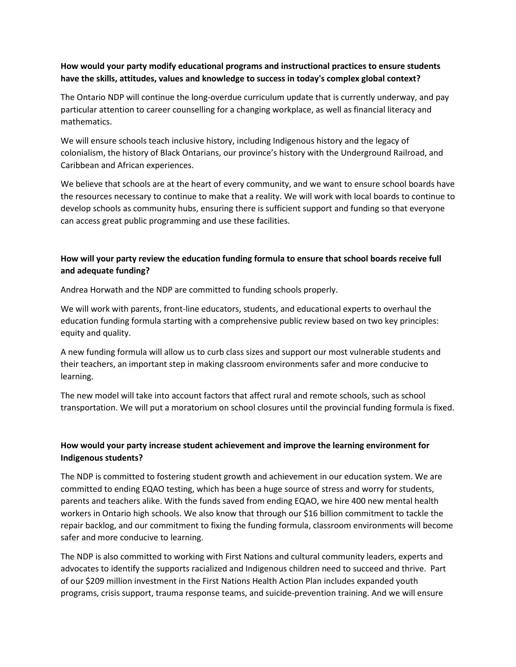#### **How would your party modify educational programs and instructional practices to ensure students have the skills, attitudes, values and knowledge to success in today's complex global context?**

The Ontario NDP will continue the long-overdue curriculum update that is currently underway, and pay particular attention to career counselling for a changing workplace, as well as financial literacy and mathematics.

We will ensure schools teach inclusive history, including Indigenous history and the legacy of colonialism, the history of Black Ontarians, our province's history with the Underground Railroad, and Caribbean and African experiences.

We believe that schools are at the heart of every community, and we want to ensure school boards have the resources necessary to continue to make that a reality. We will work with local boards to continue to develop schools as community hubs, ensuring there is sufficient support and funding so that everyone can access great public programming and use these facilities.

# **How will your party review the education funding formula to ensure that school boards receive full and adequate funding?**

Andrea Horwath and the NDP are committed to funding schools properly.

We will work with parents, front-line educators, students, and educational experts to overhaul the education funding formula starting with a comprehensive public review based on two key principles: equity and quality.

A new funding formula will allow us to curb class sizes and support our most vulnerable students and their teachers, an important step in making classroom environments safer and more conducive to learning.

The new model will take into account factors that affect rural and remote schools, such as school transportation. We will put a moratorium on school closures until the provincial funding formula is fixed.

## **How would your party increase student achievement and improve the learning environment for Indigenous students?**

The NDP is committed to fostering student growth and achievement in our education system. We are committed to ending EQAO testing, which has been a huge source of stress and worry for students, parents and teachers alike. With the funds saved from ending EQAO, we hire 400 new mental health workers in Ontario high schools. We also know that through our \$16 billion commitment to tackle the repair backlog, and our commitment to fixing the funding formula, classroom environments will become safer and more conducive to learning.

The NDP is also committed to working with First Nations and cultural community leaders, experts and advocates to identify the supports racialized and Indigenous children need to succeed and thrive. Part of our \$209 million investment in the First Nations Health Action Plan includes expanded youth programs, crisis support, trauma response teams, and suicide-prevention training. And we will ensure